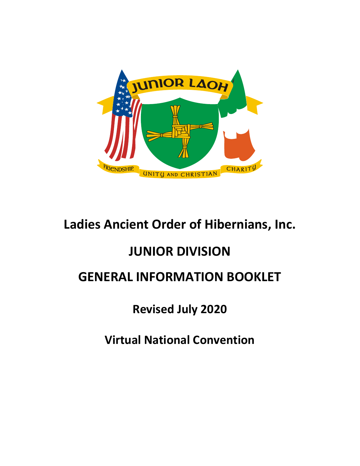

# **Ladies Ancient Order of Hibernians, Inc.**

# **JUNIOR DIVISION**

# **GENERAL INFORMATION BOOKLET**

# **Revised July 2020**

# **Virtual National Convention**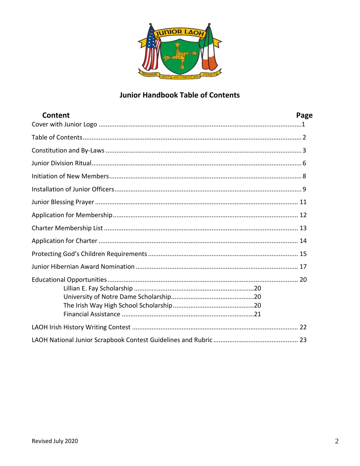

# **Junior Handbook Table of Contents**

| Content<br>Page |  |
|-----------------|--|
|                 |  |
|                 |  |
|                 |  |
|                 |  |
|                 |  |
|                 |  |
|                 |  |
|                 |  |
|                 |  |
|                 |  |
|                 |  |
|                 |  |
|                 |  |
|                 |  |
|                 |  |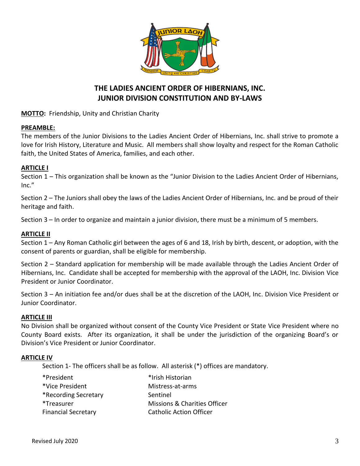

# **THE LADIES ANCIENT ORDER OF HIBERNIANS, INC. JUNIOR DIVISION CONSTITUTION AND BY-LAWS**

**MOTTO:** Friendship, Unity and Christian Charity

#### **PREAMBLE:**

The members of the Junior Divisions to the Ladies Ancient Order of Hibernians, Inc. shall strive to promote a love for Irish History, Literature and Music. All members shall show loyalty and respect for the Roman Catholic faith, the United States of America, families, and each other.

#### **ARTICLE I**

Section 1 – This organization shall be known as the "Junior Division to the Ladies Ancient Order of Hibernians, Inc."

Section 2 – The Juniors shall obey the laws of the Ladies Ancient Order of Hibernians, Inc. and be proud of their heritage and faith.

Section 3 – In order to organize and maintain a junior division, there must be a minimum of 5 members.

#### **ARTICLE II**

Section 1 – Any Roman Catholic girl between the ages of 6 and 18, Irish by birth, descent, or adoption, with the consent of parents or guardian, shall be eligible for membership.

Section 2 – Standard application for membership will be made available through the Ladies Ancient Order of Hibernians, Inc. Candidate shall be accepted for membership with the approval of the LAOH, Inc. Division Vice President or Junior Coordinator.

Section 3 – An initiation fee and/or dues shall be at the discretion of the LAOH, Inc. Division Vice President or Junior Coordinator.

#### **ARTICLE III**

No Division shall be organized without consent of the County Vice President or State Vice President where no County Board exists. After its organization, it shall be under the jurisdiction of the organizing Board's or Division's Vice President or Junior Coordinator.

#### **ARTICLE IV**

Section 1- The officers shall be as follow. All asterisk (\*) offices are mandatory.

| *President                 | *Irish Historian               |
|----------------------------|--------------------------------|
| *Vice President            | Mistress-at-arms               |
| *Recording Secretary       | Sentinel                       |
| *Treasurer                 | Missions & Charities Officer   |
| <b>Financial Secretary</b> | <b>Catholic Action Officer</b> |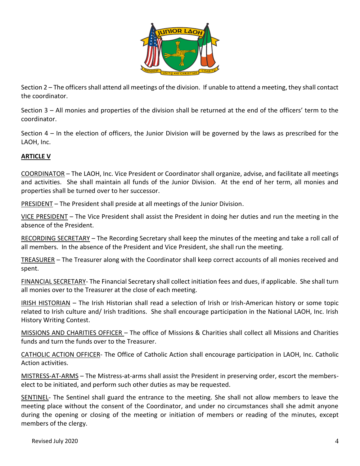

Section 2 – The officers shall attend all meetings of the division. If unable to attend a meeting, they shall contact the coordinator.

Section 3 – All monies and properties of the division shall be returned at the end of the officers' term to the coordinator.

Section 4 – In the election of officers, the Junior Division will be governed by the laws as prescribed for the LAOH, Inc.

### **ARTICLE V**

COORDINATOR – The LAOH, Inc. Vice President or Coordinator shall organize, advise, and facilitate all meetings and activities. She shall maintain all funds of the Junior Division. At the end of her term, all monies and properties shall be turned over to her successor.

PRESIDENT – The President shall preside at all meetings of the Junior Division.

VICE PRESIDENT – The Vice President shall assist the President in doing her duties and run the meeting in the absence of the President.

RECORDING SECRETARY – The Recording Secretary shall keep the minutes of the meeting and take a roll call of all members. In the absence of the President and Vice President, she shall run the meeting.

TREASURER – The Treasurer along with the Coordinator shall keep correct accounts of all monies received and spent.

FINANCIAL SECRETARY- The Financial Secretary shall collect initiation fees and dues, if applicable. She shall turn all monies over to the Treasurer at the close of each meeting.

IRISH HISTORIAN – The Irish Historian shall read a selection of Irish or Irish-American history or some topic related to Irish culture and/ Irish traditions. She shall encourage participation in the National LAOH, Inc. Irish History Writing Contest.

MISSIONS AND CHARITIES OFFICER – The office of Missions & Charities shall collect all Missions and Charities funds and turn the funds over to the Treasurer.

CATHOLIC ACTION OFFICER- The Office of Catholic Action shall encourage participation in LAOH, Inc. Catholic Action activities.

MISTRESS-AT-ARMS – The Mistress-at-arms shall assist the President in preserving order, escort the memberselect to be initiated, and perform such other duties as may be requested.

SENTINEL- The Sentinel shall guard the entrance to the meeting. She shall not allow members to leave the meeting place without the consent of the Coordinator, and under no circumstances shall she admit anyone during the opening or closing of the meeting or initiation of members or reading of the minutes, except members of the clergy.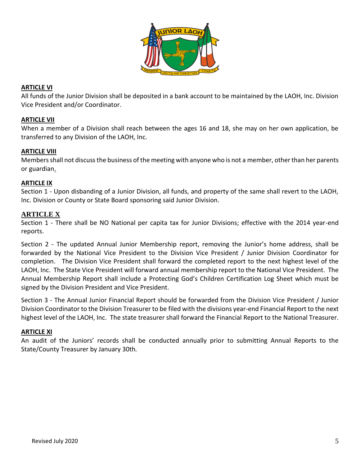

### **ARTICLE VI**

All funds of the Junior Division shall be deposited in a bank account to be maintained by the LAOH, Inc. Division Vice President and/or Coordinator.

#### **ARTICLE VII**

When a member of a Division shall reach between the ages 16 and 18, she may on her own application, be transferred to any Division of the LAOH, Inc.

#### **ARTICLE VIII**

Members shall not discuss the business of the meeting with anyone who is not a member, other than her parents or guardian.

#### **ARTICLE IX**

Section 1 - Upon disbanding of a Junior Division, all funds, and property of the same shall revert to the LAOH, Inc. Division or County or State Board sponsoring said Junior Division.

#### **ARTICLE X**

Section 1 - There shall be NO National per capita tax for Junior Divisions; effective with the 2014 year-end reports.

Section 2 - The updated Annual Junior Membership report, removing the Junior's home address, shall be forwarded by the National Vice President to the Division Vice President / Junior Division Coordinator for completion. The Division Vice President shall forward the completed report to the next highest level of the LAOH, Inc. The State Vice President will forward annual membership report to the National Vice President. The Annual Membership Report shall include a Protecting God's Children Certification Log Sheet which must be signed by the Division President and Vice President.

Section 3 - The Annual Junior Financial Report should be forwarded from the Division Vice President / Junior Division Coordinator to the Division Treasurer to be filed with the divisions year-end Financial Report to the next highest level of the LAOH, Inc. The state treasurer shall forward the Financial Report to the National Treasurer.

#### **ARTICLE XI**

An audit of the Juniors' records shall be conducted annually prior to submitting Annual Reports to the State/County Treasurer by January 30th*.*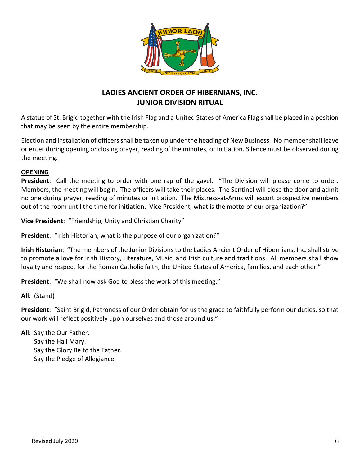

# **LADIES ANCIENT ORDER OF HIBERNIANS, INC. JUNIOR DIVISION RITUAL**

A statue of St. Brigid together with the Irish Flag and a United States of America Flag shall be placed in a position that may be seen by the entire membership.

Election and installation of officers shall be taken up under the heading of New Business. No member shall leave or enter during opening or closing prayer, reading of the minutes, or initiation. Silence must be observed during the meeting.

#### **OPENING**

**President**: Call the meeting to order with one rap of the gavel. "The Division will please come to order. Members, the meeting will begin. The officers will take their places. The Sentinel will close the door and admit no one during prayer, reading of minutes or initiation. The Mistress-at-Arms will escort prospective members out of the room until the time for initiation. Vice President, what is the motto of our organization?"

**Vice President**: "Friendship, Unity and Christian Charity"

**President**: "Irish Historian, what is the purpose of our organization?"

**Irish Historian**: "The members of the Junior Divisions to the Ladies Ancient Order of Hibernians, Inc. shall strive to promote a love for Irish History, Literature, Music, and Irish culture and traditions. All members shall show loyalty and respect for the Roman Catholic faith, the United States of America, families, and each other."

**President**: "We shall now ask God to bless the work of this meeting."

**All**: (Stand)

**President**: "Saint Brigid, Patroness of our Order obtain for us the grace to faithfully perform our duties, so that our work will reflect positively upon ourselves and those around us."

**All**: Say the Our Father. Say the Hail Mary. Say the Glory Be to the Father. Say the Pledge of Allegiance.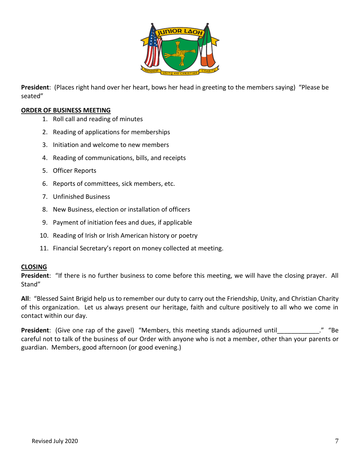

**President**: (Places right hand over her heart, bows her head in greeting to the members saying) "Please be seated"

#### **ORDER OF BUSINESS MEETING**

- 1. Roll call and reading of minutes
- 2. Reading of applications for memberships
- 3. Initiation and welcome to new members
- 4. Reading of communications, bills, and receipts
- 5. Officer Reports
- 6. Reports of committees, sick members, etc.
- 7. Unfinished Business
- 8. New Business, election or installation of officers
- 9. Payment of initiation fees and dues, if applicable
- 10. Reading of Irish or Irish American history or poetry
- 11. Financial Secretary's report on money collected at meeting.

#### **CLOSING**

**President**: "If there is no further business to come before this meeting, we will have the closing prayer. All Stand"

**All**: "Blessed Saint Brigid help us to remember our duty to carry out the Friendship, Unity, and Christian Charity of this organization. Let us always present our heritage, faith and culture positively to all who we come in contact within our day.

**President**: (Give one rap of the gavel) "Members, this meeting stands adjourned until The mass of the gavel) " careful not to talk of the business of our Order with anyone who is not a member, other than your parents or guardian. Members, good afternoon (or good evening.)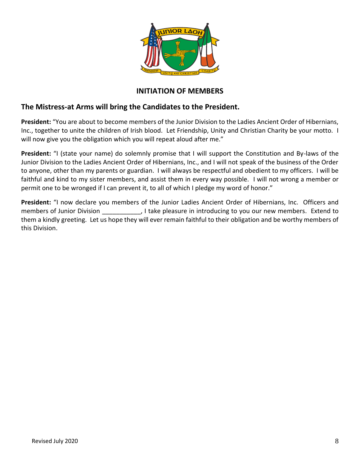

### **INITIATION OF MEMBERS**

### **The Mistress-at Arms will bring the Candidates to the President.**

**President:** "You are about to become members of the Junior Division to the Ladies Ancient Order of Hibernians, Inc., together to unite the children of Irish blood. Let Friendship, Unity and Christian Charity be your motto. I will now give you the obligation which you will repeat aloud after me."

President: "I (state your name) do solemnly promise that I will support the Constitution and By-laws of the Junior Division to the Ladies Ancient Order of Hibernians, Inc., and I will not speak of the business of the Order to anyone, other than my parents or guardian. I will always be respectful and obedient to my officers. I will be faithful and kind to my sister members, and assist them in every way possible. I will not wrong a member or permit one to be wronged if I can prevent it, to all of which I pledge my word of honor."

**President:** "I now declare you members of the Junior Ladies Ancient Order of Hibernians, Inc. Officers and members of Junior Division . The set of the pleasure in introducing to you our new members. Extend to them a kindly greeting. Let us hope they will ever remain faithful to their obligation and be worthy members of this Division.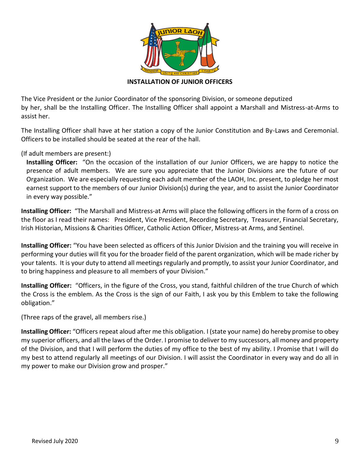

**INSTALLATION OF JUNIOR OFFICERS**

The Vice President or the Junior Coordinator of the sponsoring Division, or someone deputized by her, shall be the Installing Officer. The Installing Officer shall appoint a Marshall and Mistress-at-Arms to assist her.

The Installing Officer shall have at her station a copy of the Junior Constitution and By-Laws and Ceremonial. Officers to be installed should be seated at the rear of the hall.

(If adult members are present:)

**Installing Officer:** "On the occasion of the installation of our Junior Officers, we are happy to notice the presence of adult members. We are sure you appreciate that the Junior Divisions are the future of our Organization. We are especially requesting each adult member of the LAOH, Inc. present, to pledge her most earnest support to the members of our Junior Division(s) during the year, and to assist the Junior Coordinator in every way possible."

**Installing Officer:** "The Marshall and Mistress-at Arms will place the following officers in the form of a cross on the floor as I read their names: President, Vice President, Recording Secretary, Treasurer, Financial Secretary, Irish Historian, Missions & Charities Officer, Catholic Action Officer, Mistress-at Arms, and Sentinel.

**Installing Officer:** "You have been selected as officers of this Junior Division and the training you will receive in performing your duties will fit you for the broader field of the parent organization, which will be made richer by your talents. It is your duty to attend all meetings regularly and promptly, to assist your Junior Coordinator, and to bring happiness and pleasure to all members of your Division."

**Installing Officer:** "Officers, in the figure of the Cross, you stand, faithful children of the true Church of which the Cross is the emblem. As the Cross is the sign of our Faith, I ask you by this Emblem to take the following obligation."

(Three raps of the gravel, all members rise.)

**Installing Officer:** "Officers repeat aloud after me this obligation. I (state your name) do hereby promise to obey my superior officers, and all the laws of the Order. I promise to deliver to my successors, all money and property of the Division, and that I will perform the duties of my office to the best of my ability. I Promise that I will do my best to attend regularly all meetings of our Division. I will assist the Coordinator in every way and do all in my power to make our Division grow and prosper."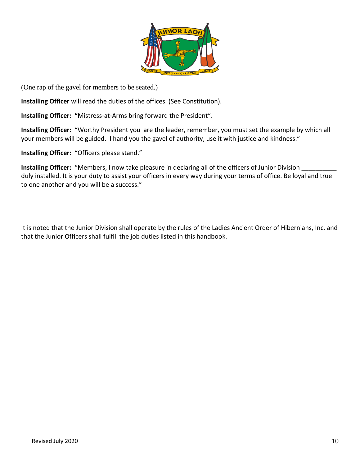

(One rap of the gavel for members to be seated.)

**Installing Officer** will read the duties of the offices. (See Constitution).

**Installing Officer: "**Mistress-at-Arms bring forward the President".

**Installing Officer:** "Worthy President you are the leader, remember, you must set the example by which all your members will be guided. I hand you the gavel of authority, use it with justice and kindness."

**Installing Officer:** "Officers please stand."

**Installing Officer:** "Members, I now take pleasure in declaring all of the officers of Junior Division duly installed. It is your duty to assist your officers in every way during your terms of office. Be loyal and true to one another and you will be a success."

It is noted that the Junior Division shall operate by the rules of the Ladies Ancient Order of Hibernians, Inc. and that the Junior Officers shall fulfill the job duties listed in this handbook.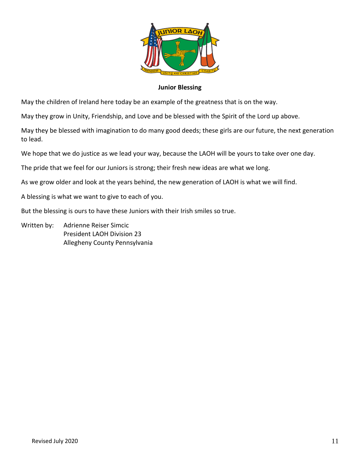

#### **Junior Blessing**

May the children of Ireland here today be an example of the greatness that is on the way.

May they grow in Unity, Friendship, and Love and be blessed with the Spirit of the Lord up above.

May they be blessed with imagination to do many good deeds; these girls are our future, the next generation to lead.

We hope that we do justice as we lead your way, because the LAOH will be yours to take over one day.

The pride that we feel for our Juniors is strong; their fresh new ideas are what we long.

As we grow older and look at the years behind, the new generation of LAOH is what we will find.

A blessing is what we want to give to each of you.

But the blessing is ours to have these Juniors with their Irish smiles so true.

Written by: Adrienne Reiser Simcic President LAOH Division 23 Allegheny County Pennsylvania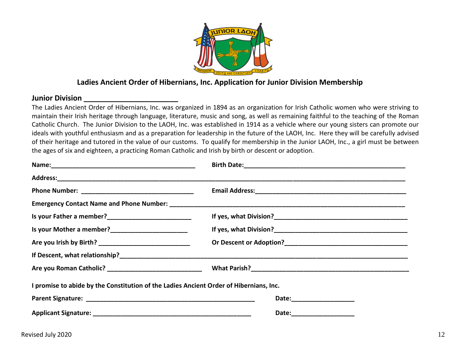

# **Ladies Ancient Order of Hibernians, Inc. Application for Junior Division Membership**

#### **Junior Division \_\_\_\_\_\_\_\_\_\_\_\_\_\_\_\_\_\_\_\_\_\_\_**

The Ladies Ancient Order of Hibernians, Inc. was organized in 1894 as an organization for Irish Catholic women who were striving to maintain their Irish heritage through language, literature, music and song, as well as remaining faithful to the teaching of the Roman Catholic Church. The Junior Division to the LAOH, Inc. was established in 1914 as a vehicle where our young sisters can promote our ideals with youthful enthusiasm and as a preparation for leadership in the future of the LAOH, Inc. Here they will be carefully advised of their heritage and tutored in the value of our customs. To qualify for membership in the Junior LAOH, Inc., a girl must be between the ages of six and eighteen, a practicing Roman Catholic and Irish by birth or descent or adoption.

| Is your Mother a member?________________________                                       |                            |  |  |
|----------------------------------------------------------------------------------------|----------------------------|--|--|
|                                                                                        |                            |  |  |
|                                                                                        |                            |  |  |
|                                                                                        |                            |  |  |
| I promise to abide by the Constitution of the Ladies Ancient Order of Hibernians, Inc. |                            |  |  |
|                                                                                        | Date: ____________________ |  |  |
|                                                                                        | Date:____________________  |  |  |
|                                                                                        |                            |  |  |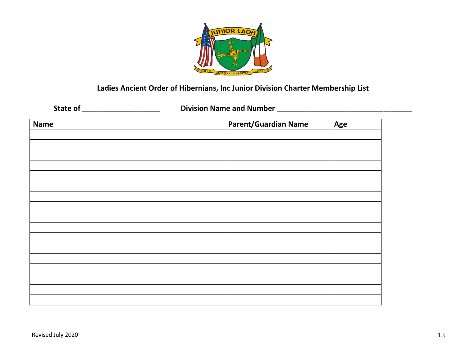

# **Ladies Ancient Order of Hibernians, Inc Junior Division Charter Membership List**

**State of \_\_\_\_\_\_\_\_\_\_\_\_\_\_\_\_\_\_\_ Division Name and Number \_\_\_\_\_\_\_\_\_\_\_\_\_\_\_\_\_\_\_\_\_\_\_\_\_\_\_\_\_\_\_\_\_**

| <b>Name</b> | <b>Parent/Guardian Name</b> | Age |  |  |
|-------------|-----------------------------|-----|--|--|
|             |                             |     |  |  |
|             |                             |     |  |  |
|             |                             |     |  |  |
|             |                             |     |  |  |
|             |                             |     |  |  |
|             |                             |     |  |  |
|             |                             |     |  |  |
|             |                             |     |  |  |
|             |                             |     |  |  |
|             |                             |     |  |  |
|             |                             |     |  |  |
|             |                             |     |  |  |
|             |                             |     |  |  |
|             |                             |     |  |  |
|             |                             |     |  |  |
|             |                             |     |  |  |
|             |                             |     |  |  |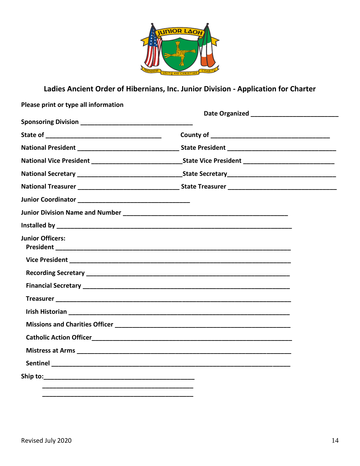

# Ladies Ancient Order of Hibernians, Inc. Junior Division - Application for Charter

| Please print or type all information |  |  |  |
|--------------------------------------|--|--|--|
|                                      |  |  |  |
|                                      |  |  |  |
|                                      |  |  |  |
|                                      |  |  |  |
|                                      |  |  |  |
|                                      |  |  |  |
|                                      |  |  |  |
|                                      |  |  |  |
|                                      |  |  |  |
|                                      |  |  |  |
| <b>Junior Officers:</b>              |  |  |  |
|                                      |  |  |  |
|                                      |  |  |  |
|                                      |  |  |  |
|                                      |  |  |  |
|                                      |  |  |  |
|                                      |  |  |  |
|                                      |  |  |  |
|                                      |  |  |  |
|                                      |  |  |  |
|                                      |  |  |  |
|                                      |  |  |  |
|                                      |  |  |  |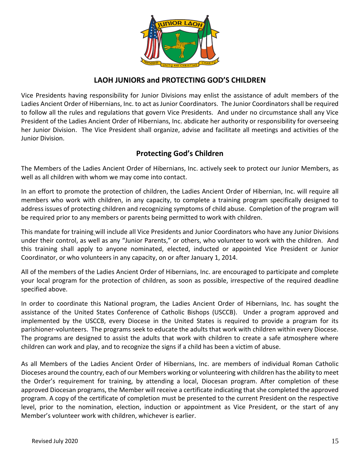

# **LAOH JUNIORS and PROTECTING GOD'S CHILDREN**

Vice Presidents having responsibility for Junior Divisions may enlist the assistance of adult members of the Ladies Ancient Order of Hibernians, Inc. to act as Junior Coordinators. The Junior Coordinators shall be required to follow all the rules and regulations that govern Vice Presidents. And under no circumstance shall any Vice President of the Ladies Ancient Order of Hibernians, Inc. abdicate her authority or responsibility for overseeing her Junior Division. The Vice President shall organize, advise and facilitate all meetings and activities of the Junior Division.

# **Protecting God's Children**

The Members of the Ladies Ancient Order of Hibernians, Inc. actively seek to protect our Junior Members, as well as all children with whom we may come into contact.

In an effort to promote the protection of children, the Ladies Ancient Order of Hibernian, Inc. will require all members who work with children, in any capacity, to complete a training program specifically designed to address issues of protecting children and recognizing symptoms of child abuse. Completion of the program will be required prior to any members or parents being permitted to work with children.

This mandate for training will include all Vice Presidents and Junior Coordinators who have any Junior Divisions under their control, as well as any "Junior Parents," or others, who volunteer to work with the children. And this training shall apply to anyone nominated, elected, inducted or appointed Vice President or Junior Coordinator, or who volunteers in any capacity, on or after January 1, 2014.

All of the members of the Ladies Ancient Order of Hibernians, Inc. are encouraged to participate and complete your local program for the protection of children, as soon as possible, irrespective of the required deadline specified above.

In order to coordinate this National program, the Ladies Ancient Order of Hibernians, Inc. has sought the assistance of the United States Conference of Catholic Bishops (USCCB). Under a program approved and implemented by the USCCB, every Diocese in the United States is required to provide a program for its parishioner-volunteers. The programs seek to educate the adults that work with children within every Diocese. The programs are designed to assist the adults that work with children to create a safe atmosphere where children can work and play, and to recognize the signs if a child has been a victim of abuse.

As all Members of the Ladies Ancient Order of Hibernians, Inc. are members of individual Roman Catholic Dioceses around the country, each of our Members working or volunteering with children has the ability to meet the Order's requirement for training, by attending a local, Diocesan program. After completion of these approved Diocesan programs, the Member will receive a certificate indicating that she completed the approved program. A copy of the certificate of completion must be presented to the current President on the respective level, prior to the nomination, election, induction or appointment as Vice President, or the start of any Member's volunteer work with children, whichever is earlier.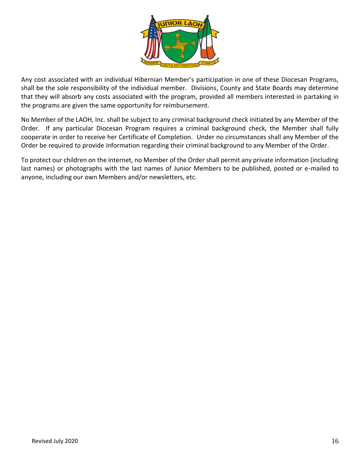

Any cost associated with an individual Hibernian Member's participation in one of these Diocesan Programs, shall be the sole responsibility of the individual member. Divisions, County and State Boards may determine that they will absorb any costs associated with the program, provided all members interested in partaking in the programs are given the same opportunity for reimbursement.

No Member of the LAOH, Inc. shall be subject to any criminal background check initiated by any Member of the Order. If any particular Diocesan Program requires a criminal background check, the Member shall fully cooperate in order to receive her Certificate of Completion. Under no circumstances shall any Member of the Order be required to provide information regarding their criminal background to any Member of the Order.

To protect our children on the internet, no Member of the Order shall permit any private information (including last names) or photographs with the last names of Junior Members to be published, posted or e-mailed to anyone, including our own Members and/or newsletters, etc.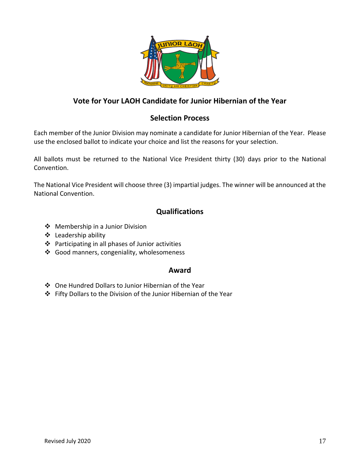

# **Vote for Your LAOH Candidate for Junior Hibernian of the Year**

## **Selection Process**

Each member of the Junior Division may nominate a candidate for Junior Hibernian of the Year. Please use the enclosed ballot to indicate your choice and list the reasons for your selection.

All ballots must be returned to the National Vice President thirty (30) days prior to the National Convention.

The National Vice President will choose three (3) impartial judges. The winner will be announced at the National Convention.

# **Qualifications**

- ❖ Membership in a Junior Division
- ❖ Leadership ability
- ❖ Participating in all phases of Junior activities
- ❖ Good manners, congeniality, wholesomeness

### **Award**

- ❖ One Hundred Dollars to Junior Hibernian of the Year
- ❖ Fifty Dollars to the Division of the Junior Hibernian of the Year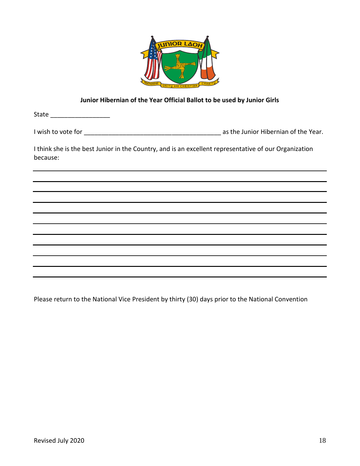

#### **Junior Hibernian of the Year Official Ballot to be used by Junior Girls**

State \_\_\_\_\_\_\_\_\_\_\_\_\_\_\_\_\_\_\_\_\_\_\_

I wish to vote for \_\_\_\_\_\_\_\_\_\_\_\_\_\_\_\_\_\_\_\_\_\_\_\_\_\_\_\_\_\_\_\_\_\_\_\_\_\_\_ as the Junior Hibernian of the Year.

I think she is the best Junior in the Country, and is an excellent representative of our Organization because:

Please return to the National Vice President by thirty (30) days prior to the National Convention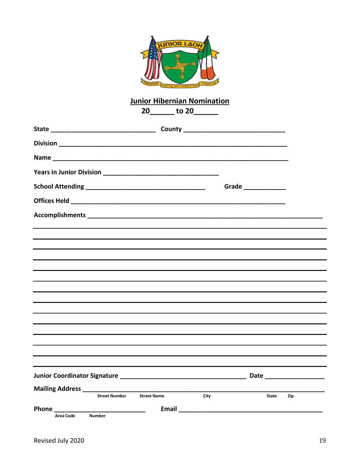

# Junior Hibernian Nomination<br>20 - to 20

|                                                                                  | $20$ ________ to $20$ ________ |                             |                      |     |
|----------------------------------------------------------------------------------|--------------------------------|-----------------------------|----------------------|-----|
|                                                                                  |                                |                             |                      |     |
|                                                                                  |                                |                             |                      |     |
|                                                                                  |                                |                             |                      |     |
|                                                                                  |                                |                             |                      |     |
|                                                                                  |                                |                             | Grade ______________ |     |
|                                                                                  |                                |                             |                      |     |
|                                                                                  |                                |                             |                      |     |
|                                                                                  |                                |                             |                      |     |
| ,我们也不会有什么。""我们的人,我们也不会有什么?""我们的人,我们也不会有什么?""我们的人,我们也不会有什么?""我们的人,我们也不会有什么?""我们的人 |                                |                             |                      |     |
|                                                                                  |                                |                             |                      |     |
|                                                                                  |                                |                             |                      |     |
| ,我们也不能在这里的时候,我们也不能会在这里,我们也不能会不能会不能会不能会不能会不能会不能会。""我们的人们,我们也不能会不能会不能会不能会不能会不能会不能会 |                                |                             |                      |     |
|                                                                                  |                                |                             |                      |     |
|                                                                                  |                                |                             |                      |     |
|                                                                                  |                                |                             |                      |     |
|                                                                                  |                                |                             |                      |     |
|                                                                                  |                                |                             |                      |     |
|                                                                                  |                                |                             |                      |     |
|                                                                                  |                                |                             | $_$ Date $_$         |     |
| <b>Street Number</b>                                                             | <b>Street Name</b>             | City                        | State                | Zip |
| Phone ______                                                                     |                                | <b>Email Exercise Email</b> |                      |     |
| <b>Number</b><br><b>Area Code</b>                                                |                                |                             |                      |     |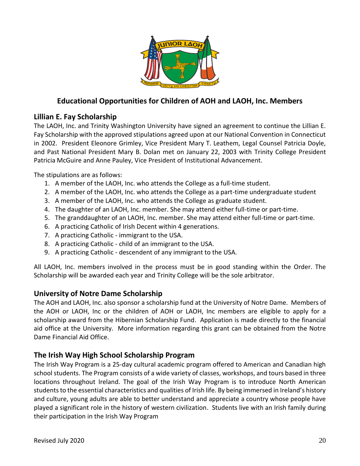

# **Educational Opportunities for Children of AOH and LAOH, Inc. Members**

# **Lillian E. Fay Scholarship**

The LAOH, Inc. and Trinity Washington University have signed an agreement to continue the Lillian E. Fay Scholarship with the approved stipulations agreed upon at our National Convention in Connecticut in 2002. President Eleonore Grimley, Vice President Mary T. Leathem, Legal Counsel Patricia Doyle, and Past National President Mary B. Dolan met on January 22, 2003 with Trinity College President Patricia McGuire and Anne Pauley, Vice President of Institutional Advancement.

The stipulations are as follows:

- 1. A member of the LAOH, Inc. who attends the College as a full-time student.
- 2. A member of the LAOH, Inc. who attends the College as a part-time undergraduate student
- 3. A member of the LAOH, Inc. who attends the College as graduate student.
- 4. The daughter of an LAOH, Inc. member. She may attend either full-time or part-time.
- 5. The granddaughter of an LAOH, Inc. member. She may attend either full-time or part-time.
- 6. A practicing Catholic of Irish Decent within 4 generations.
- 7. A practicing Catholic immigrant to the USA.
- 8. A practicing Catholic child of an immigrant to the USA.
- 9. A practicing Catholic descendent of any immigrant to the USA.

All LAOH, Inc. members involved in the process must be in good standing within the Order. The Scholarship will be awarded each year and Trinity College will be the sole arbitrator.

### **University of Notre Dame Scholarship**

The AOH and LAOH, Inc. also sponsor a scholarship fund at the University of Notre Dame. Members of the AOH or LAOH, Inc or the children of AOH or LAOH, Inc members are eligible to apply for a scholarship award from the Hibernian Scholarship Fund. Application is made directly to the financial aid office at the University. More information regarding this grant can be obtained from the Notre Dame Financial Aid Office.

# **The Irish Way High School Scholarship Program**

The Irish Way Program is a 25-day cultural academic program offered to American and Canadian high school students. The Program consists of a wide variety of classes, workshops, and tours based in three locations throughout Ireland. The goal of the Irish Way Program is to introduce North American students to the essential characteristics and qualities of Irish life. By being immersed in Ireland's history and culture, young adults are able to better understand and appreciate a country whose people have played a significant role in the history of western civilization. Students live with an Irish family during their participation in the Irish Way Program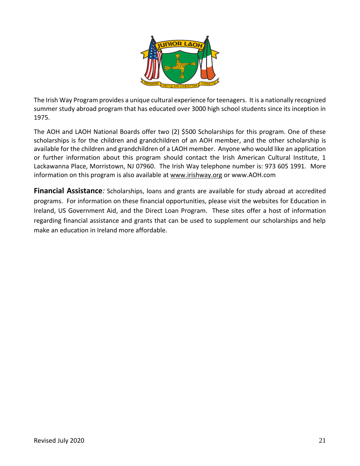

The Irish Way Program provides a unique cultural experience for teenagers. It is a nationally recognized summer study abroad program that has educated over 3000 high school students since its inception in 1975.

The AOH and LAOH National Boards offer two (2) \$500 Scholarships for this program. One of these scholarships is for the children and grandchildren of an AOH member, and the other scholarship is available for the children and grandchildren of a LAOH member. Anyone who would like an application or further information about this program should contact the Irish American Cultural Institute, 1 Lackawanna Place, Morristown, NJ 07960. The Irish Way telephone number is: 973 605 1991. More information on this program is also available at [www.irishway.org](http://www.irishway.org/) or www.AOH.com

**Financial Assistance***:* Scholarships, loans and grants are available for study abroad at accredited programs. For information on these financial opportunities, please visit the websites for Education in Ireland, US Government Aid, and the Direct Loan Program. These sites offer a host of information regarding financial assistance and grants that can be used to supplement our scholarships and help make an education in Ireland more affordable.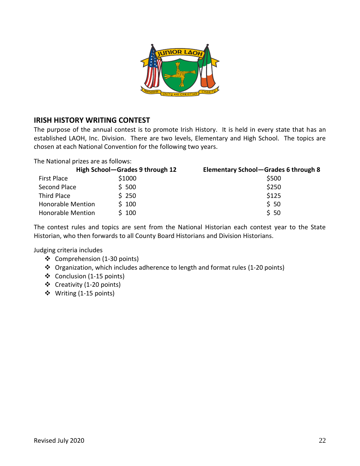

## **IRISH HISTORY WRITING CONTEST**

The purpose of the annual contest is to promote Irish History. It is held in every state that has an established LAOH, Inc. Division. There are two levels, Elementary and High School. The topics are chosen at each National Convention for the following two years.

The National prizes are as follows:

|                          | High School-Grades 9 through 12 | Elementary School-Grades 6 through 8 |
|--------------------------|---------------------------------|--------------------------------------|
| <b>First Place</b>       | \$1000                          | \$500                                |
| Second Place             | \$500                           | \$250                                |
| Third Place              | \$250                           | \$125                                |
| <b>Honorable Mention</b> | \$100                           | \$50                                 |
| <b>Honorable Mention</b> | \$100                           | \$50                                 |

The contest rules and topics are sent from the National Historian each contest year to the State Historian, who then forwards to all County Board Historians and Division Historians.

Judging criteria includes

- ❖ Comprehension (1-30 points)
- ❖ Organization, which includes adherence to length and format rules (1-20 points)
- ❖ Conclusion (1-15 points)
- ❖ Creativity (1-20 points)
- ❖ Writing (1-15 points)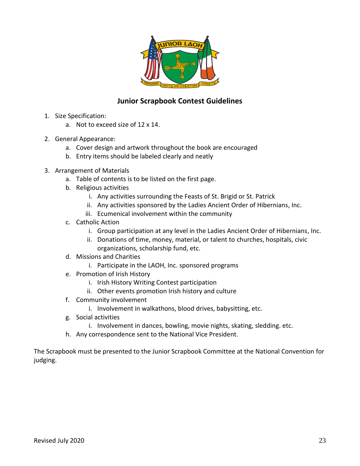

# **Junior Scrapbook Contest Guidelines**

- 1. Size Specification:
	- a. Not to exceed size of 12 x 14.
- 2. General Appearance:
	- a. Cover design and artwork throughout the book are encouraged
	- b. Entry items should be labeled clearly and neatly
- 3. Arrangement of Materials
	- a. Table of contents is to be listed on the first page.
	- b. Religious activities
		- i. Any activities surrounding the Feasts of St. Brigid or St. Patrick
		- ii. Any activities sponsored by the Ladies Ancient Order of Hibernians, Inc.
		- iii. Ecumenical involvement within the community
	- c. Catholic Action
		- i. Group participation at any level in the Ladies Ancient Order of Hibernians, Inc.
		- ii. Donations of time, money, material, or talent to churches, hospitals, civic organizations, scholarship fund, etc.
	- d. Missions and Charities
		- i. Participate in the LAOH, Inc. sponsored programs
	- e. Promotion of Irish History
		- i. Irish History Writing Contest participation
		- ii. Other events promotion Irish history and culture
	- f. Community involvement
		- i. Involvement in walkathons, blood drives, babysitting, etc.
	- g. Social activities
		- i. Involvement in dances, bowling, movie nights, skating, sledding. etc.
	- h. Any correspondence sent to the National Vice President.

The Scrapbook must be presented to the Junior Scrapbook Committee at the National Convention for judging.